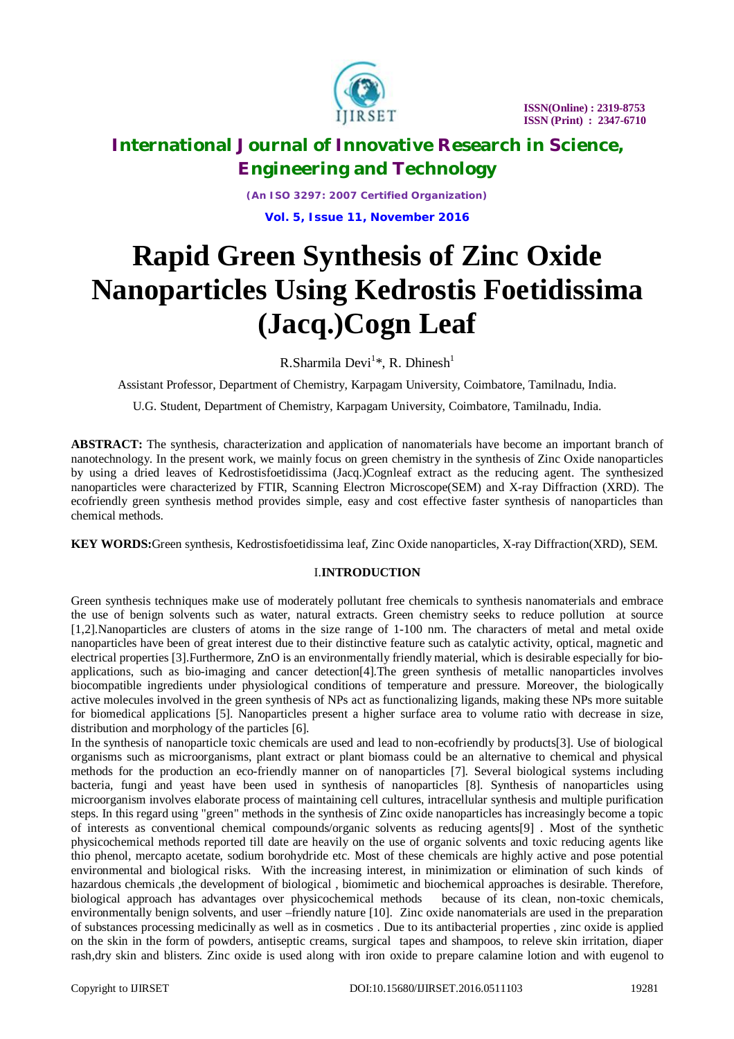

*(An ISO 3297: 2007 Certified Organization)* **Vol. 5, Issue 11, November 2016**

# **Rapid Green Synthesis of Zinc Oxide Nanoparticles Using Kedrostis Foetidissima (Jacq.)Cogn Leaf**

R.Sharmila Devi<sup>1\*</sup>, R. Dhinesh<sup>1</sup>

Assistant Professor, Department of Chemistry, Karpagam University, Coimbatore, Tamilnadu, India.

U.G. Student, Department of Chemistry, Karpagam University, Coimbatore, Tamilnadu, India.

**ABSTRACT:** The synthesis, characterization and application of nanomaterials have become an important branch of nanotechnology. In the present work, we mainly focus on green chemistry in the synthesis of Zinc Oxide nanoparticles by using a dried leaves of Kedrostisfoetidissima (Jacq.)Cognleaf extract as the reducing agent. The synthesized nanoparticles were characterized by FTIR, Scanning Electron Microscope(SEM) and X-ray Diffraction (XRD). The ecofriendly green synthesis method provides simple, easy and cost effective faster synthesis of nanoparticles than chemical methods.

**KEY WORDS:**Green synthesis, Kedrostisfoetidissima leaf, Zinc Oxide nanoparticles, X-ray Diffraction(XRD), SEM.

## I.**INTRODUCTION**

Green synthesis techniques make use of moderately pollutant free chemicals to synthesis nanomaterials and embrace the use of benign solvents such as water, natural extracts. Green chemistry seeks to reduce pollution at source [1,2].Nanoparticles are clusters of atoms in the size range of 1-100 nm. The characters of metal and metal oxide nanoparticles have been of great interest due to their distinctive feature such as catalytic activity, optical, magnetic and electrical properties [3].Furthermore, ZnO is an environmentally friendly material, which is desirable especially for bioapplications, such as bio-imaging and cancer detection[4].The green synthesis of metallic nanoparticles involves biocompatible ingredients under physiological conditions of temperature and pressure. Moreover, the biologically active molecules involved in the green synthesis of NPs act as functionalizing ligands, making these NPs more suitable for biomedical applications [5]. Nanoparticles present a higher surface area to volume ratio with decrease in size, distribution and morphology of the particles [6].

In the synthesis of nanoparticle toxic chemicals are used and lead to non-ecofriendly by products[3]. Use of biological organisms such as microorganisms, plant extract or plant biomass could be an alternative to chemical and physical methods for the production an eco-friendly manner on of nanoparticles [7]. Several biological systems including bacteria, fungi and yeast have been used in synthesis of nanoparticles [8]. Synthesis of nanoparticles using microorganism involves elaborate process of maintaining cell cultures, intracellular synthesis and multiple purification steps. In this regard using "green" methods in the synthesis of Zinc oxide nanoparticles has increasingly become a topic of interests as conventional chemical compounds/organic solvents as reducing agents[9] . Most of the synthetic physicochemical methods reported till date are heavily on the use of organic solvents and toxic reducing agents like thio phenol, mercapto acetate, sodium borohydride etc. Most of these chemicals are highly active and pose potential environmental and biological risks. With the increasing interest, in minimization or elimination of such kinds of hazardous chemicals ,the development of biological , biomimetic and biochemical approaches is desirable. Therefore, biological approach has advantages over physicochemical methods because of its clean, non-toxic chemicals, environmentally benign solvents, and user –friendly nature [10]. Zinc oxide nanomaterials are used in the preparation of substances processing medicinally as well as in cosmetics . Due to its antibacterial properties , zinc oxide is applied on the skin in the form of powders, antiseptic creams, surgical tapes and shampoos, to releve skin irritation, diaper rash,dry skin and blisters. Zinc oxide is used along with iron oxide to prepare calamine lotion and with eugenol to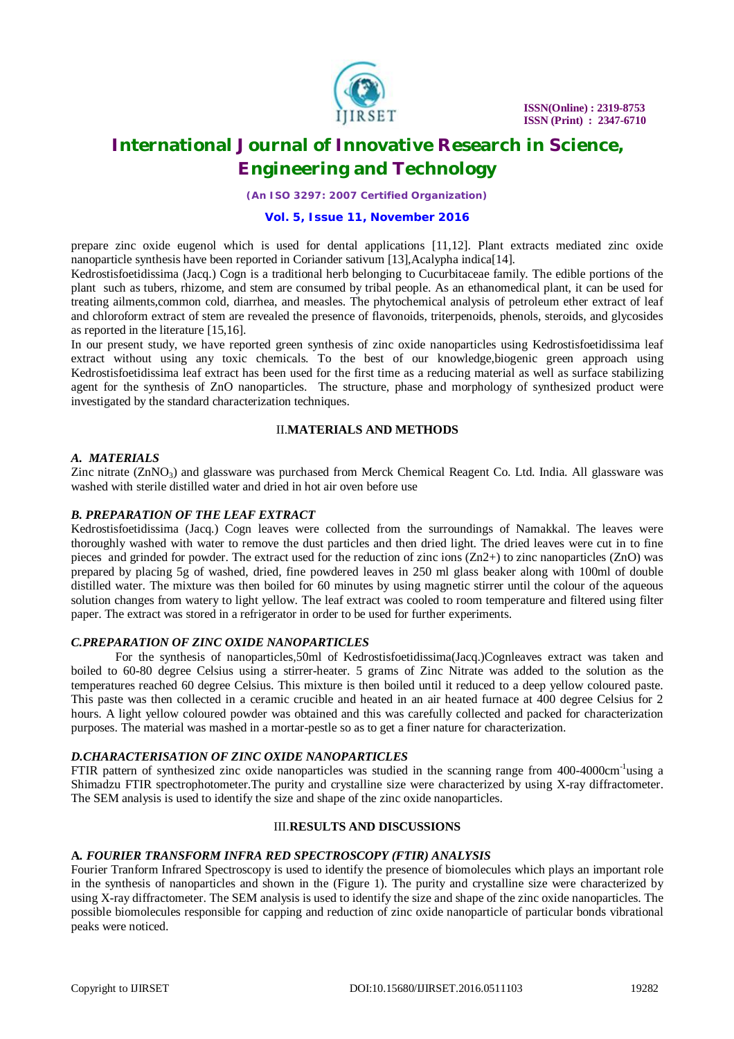

*(An ISO 3297: 2007 Certified Organization)*

#### **Vol. 5, Issue 11, November 2016**

prepare zinc oxide eugenol which is used for dental applications [11,12]. Plant extracts mediated zinc oxide nanoparticle synthesis have been reported in Coriander sativum [13],Acalypha indica[14].

Kedrostisfoetidissima (Jacq.) Cogn is a traditional herb belonging to Cucurbitaceae family. The edible portions of the plant such as tubers, rhizome, and stem are consumed by tribal people. As an ethanomedical plant, it can be used for treating ailments,common cold, diarrhea, and measles. The phytochemical analysis of petroleum ether extract of leaf and chloroform extract of stem are revealed the presence of flavonoids, triterpenoids, phenols, steroids, and glycosides as reported in the literature [15,16].

In our present study, we have reported green synthesis of zinc oxide nanoparticles using Kedrostisfoetidissima leaf extract without using any toxic chemicals. To the best of our knowledge,biogenic green approach using Kedrostisfoetidissima leaf extract has been used for the first time as a reducing material as well as surface stabilizing agent for the synthesis of ZnO nanoparticles. The structure, phase and morphology of synthesized product were investigated by the standard characterization techniques.

## II.**MATERIALS AND METHODS**

## *A. MATERIALS*

Zinc nitrate (ZnNO<sub>3</sub>) and glassware was purchased from Merck Chemical Reagent Co. Ltd. India. All glassware was washed with sterile distilled water and dried in hot air oven before use

## *B. PREPARATION OF THE LEAF EXTRACT*

Kedrostisfoetidissima (Jacq.) Cogn leaves were collected from the surroundings of Namakkal. The leaves were thoroughly washed with water to remove the dust particles and then dried light. The dried leaves were cut in to fine pieces and grinded for powder. The extract used for the reduction of zinc ions  $(Zn2+)$  to zinc nanoparticles  $(ZnO)$  was prepared by placing 5g of washed, dried, fine powdered leaves in 250 ml glass beaker along with 100ml of double distilled water. The mixture was then boiled for 60 minutes by using magnetic stirrer until the colour of the aqueous solution changes from watery to light yellow. The leaf extract was cooled to room temperature and filtered using filter paper. The extract was stored in a refrigerator in order to be used for further experiments.

# *C.PREPARATION OF ZINC OXIDE NANOPARTICLES*

For the synthesis of nanoparticles,50ml of Kedrostisfoetidissima(Jacq.)Cognleaves extract was taken and boiled to 60-80 degree Celsius using a stirrer-heater. 5 grams of Zinc Nitrate was added to the solution as the temperatures reached 60 degree Celsius. This mixture is then boiled until it reduced to a deep yellow coloured paste. This paste was then collected in a ceramic crucible and heated in an air heated furnace at 400 degree Celsius for 2 hours. A light yellow coloured powder was obtained and this was carefully collected and packed for characterization purposes. The material was mashed in a mortar-pestle so as to get a finer nature for characterization.

## *D.CHARACTERISATION OF ZINC OXIDE NANOPARTICLES*

FTIR pattern of synthesized zinc oxide nanoparticles was studied in the scanning range from 400-4000cm<sup>-1</sup>using a Shimadzu FTIR spectrophotometer.The purity and crystalline size were characterized by using X-ray diffractometer. The SEM analysis is used to identify the size and shape of the zinc oxide nanoparticles.

#### III.**RESULTS AND DISCUSSIONS**

## **A***. FOURIER TRANSFORM INFRA RED SPECTROSCOPY (FTIR) ANALYSIS*

Fourier Tranform Infrared Spectroscopy is used to identify the presence of biomolecules which plays an important role in the synthesis of nanoparticles and shown in the (Figure 1). The purity and crystalline size were characterized by using X-ray diffractometer. The SEM analysis is used to identify the size and shape of the zinc oxide nanoparticles. The possible biomolecules responsible for capping and reduction of zinc oxide nanoparticle of particular bonds vibrational peaks were noticed.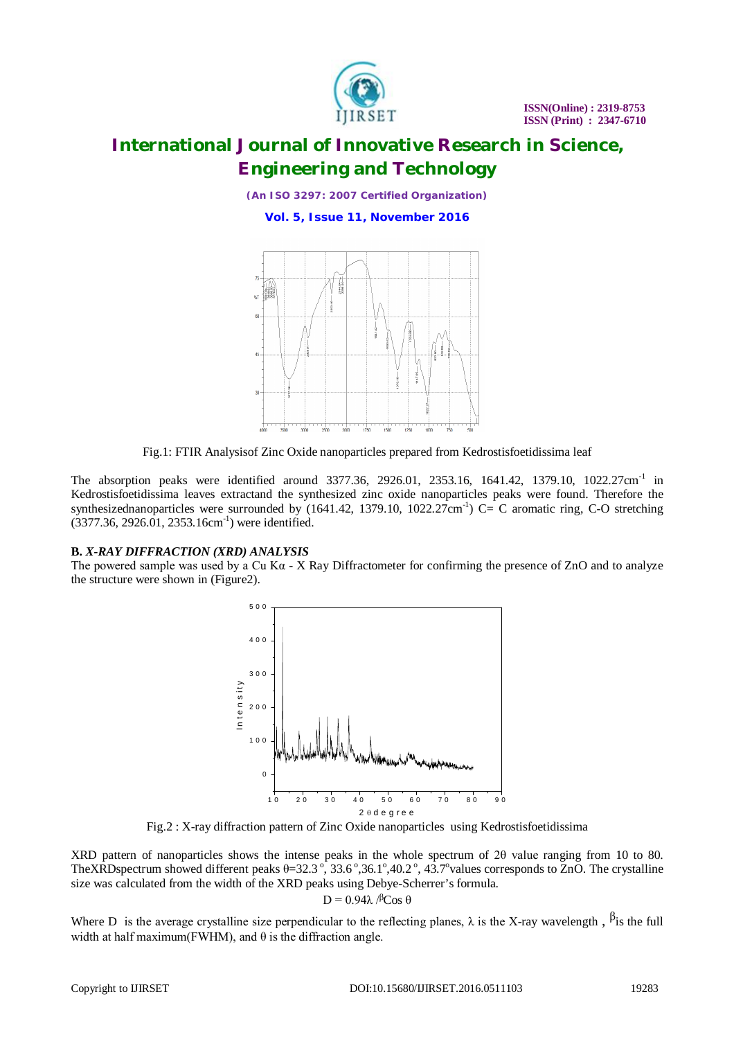

*(An ISO 3297: 2007 Certified Organization)*

**Vol. 5, Issue 11, November 2016**



Fig.1: FTIR Analysisof Zinc Oxide nanoparticles prepared from Kedrostisfoetidissima leaf

The absorption peaks were identified around 3377.36, 2926.01, 2353.16, 1641.42, 1379.10, 1022.27cm<sup>-1</sup> in Kedrostisfoetidissima leaves extractand the synthesized zinc oxide nanoparticles peaks were found. Therefore the synthesizednanoparticles were surrounded by  $(1641.42, 1379.10, 1022.27cm^{-1})$  C= C aromatic ring, C-O stretching  $(3377.36, 2926.01, 2353.16cm<sup>-1</sup>)$  were identified.

#### **B.** *X-RAY DIFFRACTION (XRD) ANALYSIS*

The powered sample was used by a Cu Kα - X Ray Diffractometer for confirming the presence of ZnO and to analyze the structure were shown in (Figure2).



Fig.2 : X-ray diffraction pattern of Zinc Oxide nanoparticles using Kedrostisfoetidissima

XRD pattern of nanoparticles shows the intense peaks in the whole spectrum of 2θ value ranging from 10 to 80. TheXRDspectrum showed different peaks  $\theta$ =32.3<sup>°</sup>, 33.6<sup>°</sup>, 36.1<sup>°</sup>, 40.2<sup>°</sup>, 43.7<sup>°</sup> values corresponds to ZnO. The crystalline size was calculated from the width of the XRD peaks using Debye-Scherrer's formula. D = 0.94λ  $\beta$ Cos θ

Where D is the average crystalline size perpendicular to the reflecting planes,  $\lambda$  is the X-ray wavelength ,  $\beta$ is the full width at half maximum(FWHM), and  $\theta$  is the diffraction angle.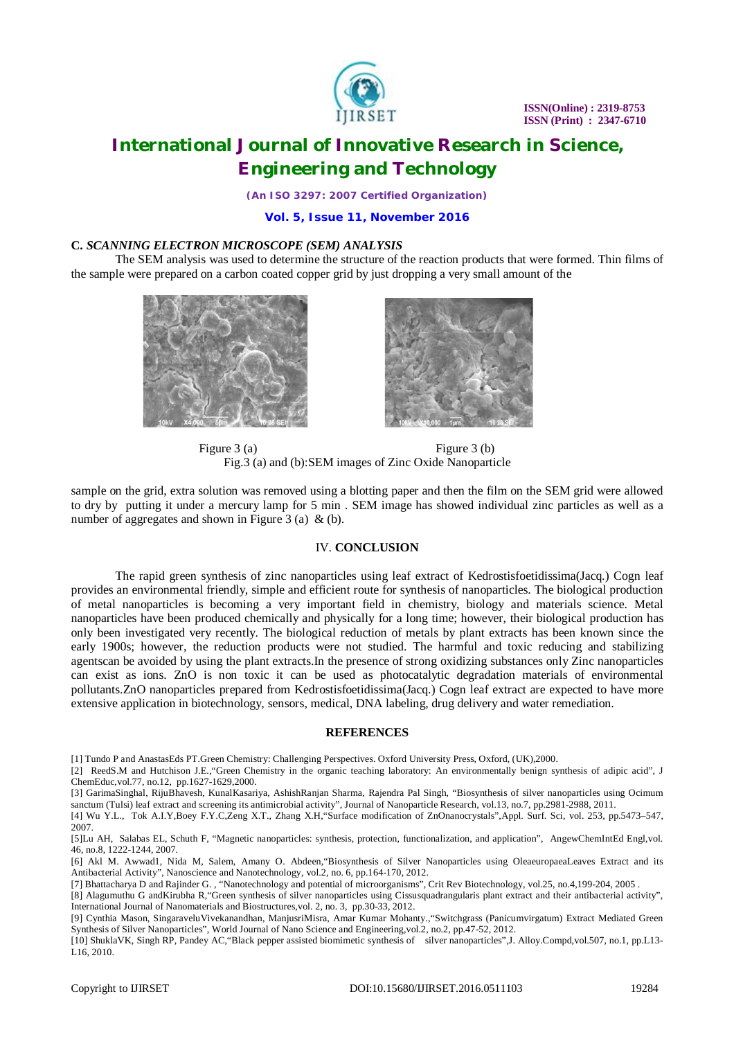

 **ISSN(Online) : 2319-8753 ISSN (Print) : 2347-6710**

# **International Journal of Innovative Research in Science, Engineering and Technology**

*(An ISO 3297: 2007 Certified Organization)*

**Vol. 5, Issue 11, November 2016**

#### **C.** *SCANNING ELECTRON MICROSCOPE (SEM) ANALYSIS*

The SEM analysis was used to determine the structure of the reaction products that were formed. Thin films of the sample were prepared on a carbon coated copper grid by just dropping a very small amount of the





Figure 3 (a) Figure 3 (b) Fig.3 (a) and (b):SEM images of Zinc Oxide Nanoparticle

sample on the grid, extra solution was removed using a blotting paper and then the film on the SEM grid were allowed to dry by putting it under a mercury lamp for 5 min . SEM image has showed individual zinc particles as well as a number of aggregates and shown in Figure 3 (a)  $\&$  (b).

#### IV. **CONCLUSION**

The rapid green synthesis of zinc nanoparticles using leaf extract of Kedrostisfoetidissima(Jacq.) Cogn leaf provides an environmental friendly, simple and efficient route for synthesis of nanoparticles. The biological production of metal nanoparticles is becoming a very important field in chemistry, biology and materials science. Metal nanoparticles have been produced chemically and physically for a long time; however, their biological production has only been investigated very recently. The biological reduction of metals by plant extracts has been known since the early 1900s; however, the reduction products were not studied. The harmful and toxic reducing and stabilizing agentscan be avoided by using the plant extracts.In the presence of strong oxidizing substances only Zinc nanoparticles can exist as ions. ZnO is non toxic it can be used as photocatalytic degradation materials of environmental pollutants.ZnO nanoparticles prepared from Kedrostisfoetidissima(Jacq.) Cogn leaf extract are expected to have more extensive application in biotechnology, sensors, medical, DNA labeling, drug delivery and water remediation.

#### **REFERENCES**

[1] Tundo P and AnastasEds PT.Green Chemistry: Challenging Perspectives. Oxford University Press, Oxford, (UK),2000.

[2] ReedS.M and Hutchison J.E.,"Green Chemistry in the organic teaching laboratory: An environmentally benign synthesis of adipic acid", J ChemEduc,vol.77, no.12, pp.1627-1629,2000.

[3] GarimaSinghal, RijuBhavesh, KunalKasariya, AshishRanjan Sharma, Rajendra Pal Singh, "Biosynthesis of silver nanoparticles using Ocimum sanctum (Tulsi) leaf extract and screening its antimicrobial activity", Journal of Nanoparticle Research, vol.13, no.7, pp.2981-2988, 2011. [4] Wu Y.L., Tok A.I.Y,Boey F.Y.C,Zeng X.T., Zhang X.H,"Surface modification of ZnOnanocrystals",Appl. Surf. Sci, vol. 253, pp.5473–547,

2007.

[5]Lu AH, Salabas EL, Schuth F, "Magnetic nanoparticles: synthesis, protection, functionalization, and application", AngewChemIntEd Engl,vol. 46, no.8, 1222-1244, 2007*.*

[6] Akl M. Awwad1, Nida M, Salem, Amany O. Abdeen,"Biosynthesis of Silver Nanoparticles using OleaeuropaeaLeaves Extract and its Antibacterial Activity", Nanoscience and Nanotechnology, vol.2, no. 6, pp.164-170, 2012.

[7] Bhattacharya D and Rajinder G. , "Nanotechnology and potential of microorganisms", Crit Rev Biotechnology, vol.25, no.4,199-204, 2005 . [8] Alagumuthu G andKirubha R,"Green synthesis of silver nanoparticles using Cissusquadrangularis plant extract and their antibacterial activity",

International Journal of Nanomaterials and Biostructures,vol. 2, no. 3, pp.30-33, 2012. [9] Cynthia Mason, SingaraveluVivekanandhan, ManjusriMisra, Amar Kumar Mohanty.,"Switchgrass (Panicumvirgatum) Extract Mediated Green

Synthesis of Silver Nanoparticles", World Journal of Nano Science and Engineering,vol.2, no.2, pp.47-52, 2012. [10] ShuklaVK, Singh RP, Pandey AC,"Black pepper assisted biomimetic synthesis of silver nanoparticles",J. Alloy.Compd,vol.507, no.1, pp.L13-

L16, 2010.